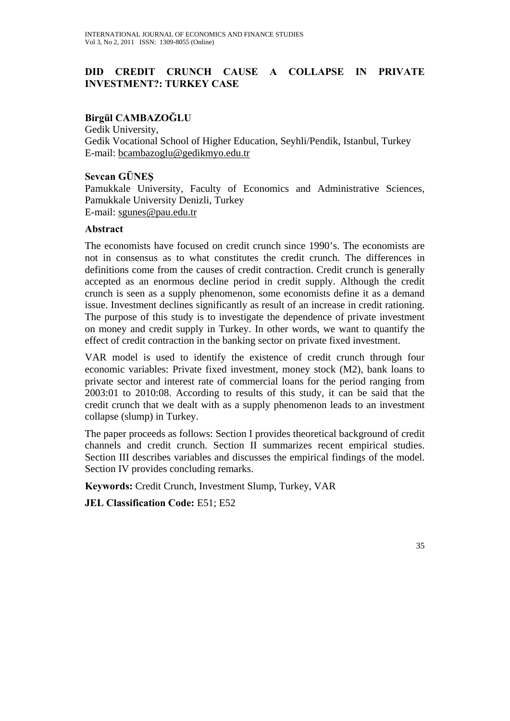# **DID CREDIT CRUNCH CAUSE A COLLAPSE IN PRIVATE INVESTMENT?: TURKEY CASE**

### **Birgül CAMBAZOĞLU**

Gedik University, Gedik Vocational School of Higher Education, Seyhli/Pendik, Istanbul, Turkey E-mail: bcambazoglu@gedikmyo.edu.tr

#### **Sevcan GÜNEŞ**

Pamukkale University, Faculty of Economics and Administrative Sciences, Pamukkale University Denizli, Turkey E-mail: sgunes@pau.edu.tr

#### **Abstract**

The economists have focused on credit crunch since 1990's. The economists are not in consensus as to what constitutes the credit crunch. The differences in definitions come from the causes of credit contraction. Credit crunch is generally accepted as an enormous decline period in credit supply. Although the credit crunch is seen as a supply phenomenon, some economists define it as a demand issue. Investment declines significantly as result of an increase in credit rationing. The purpose of this study is to investigate the dependence of private investment on money and credit supply in Turkey. In other words, we want to quantify the effect of credit contraction in the banking sector on private fixed investment.

VAR model is used to identify the existence of credit crunch through four economic variables: Private fixed investment, money stock (M2), bank loans to private sector and interest rate of commercial loans for the period ranging from 2003:01 to 2010:08. According to results of this study, it can be said that the credit crunch that we dealt with as a supply phenomenon leads to an investment collapse (slump) in Turkey.

The paper proceeds as follows: Section I provides theoretical background of credit channels and credit crunch. Section II summarizes recent empirical studies. Section III describes variables and discusses the empirical findings of the model. Section IV provides concluding remarks.

**Keywords:** Credit Crunch, Investment Slump, Turkey, VAR

**JEL Classification Code:** E51; E52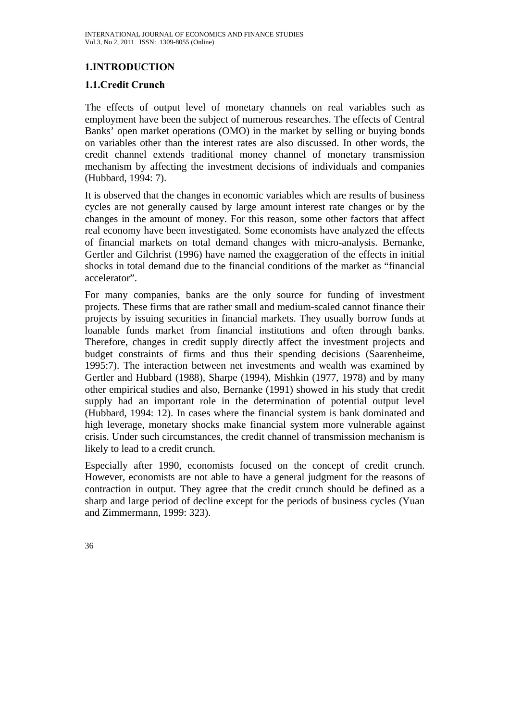# **1.INTRODUCTION**

### **1.1.Credit Crunch**

The effects of output level of monetary channels on real variables such as employment have been the subject of numerous researches. The effects of Central Banks' open market operations (OMO) in the market by selling or buying bonds on variables other than the interest rates are also discussed. In other words, the credit channel extends traditional money channel of monetary transmission mechanism by affecting the investment decisions of individuals and companies (Hubbard, 1994: 7).

It is observed that the changes in economic variables which are results of business cycles are not generally caused by large amount interest rate changes or by the changes in the amount of money. For this reason, some other factors that affect real economy have been investigated. Some economists have analyzed the effects of financial markets on total demand changes with micro-analysis. Bernanke, Gertler and Gilchrist (1996) have named the exaggeration of the effects in initial shocks in total demand due to the financial conditions of the market as "financial accelerator".

For many companies, banks are the only source for funding of investment projects. These firms that are rather small and medium-scaled cannot finance their projects by issuing securities in financial markets. They usually borrow funds at loanable funds market from financial institutions and often through banks. Therefore, changes in credit supply directly affect the investment projects and budget constraints of firms and thus their spending decisions (Saarenheime, 1995:7). The interaction between net investments and wealth was examined by Gertler and Hubbard (1988), Sharpe (1994), Mishkin (1977, 1978) and by many other empirical studies and also, Bernanke (1991) showed in his study that credit supply had an important role in the determination of potential output level (Hubbard, 1994: 12). In cases where the financial system is bank dominated and high leverage, monetary shocks make financial system more vulnerable against crisis. Under such circumstances, the credit channel of transmission mechanism is likely to lead to a credit crunch.

Especially after 1990, economists focused on the concept of credit crunch. However, economists are not able to have a general judgment for the reasons of contraction in output. They agree that the credit crunch should be defined as a sharp and large period of decline except for the periods of business cycles (Yuan and Zimmermann, 1999: 323).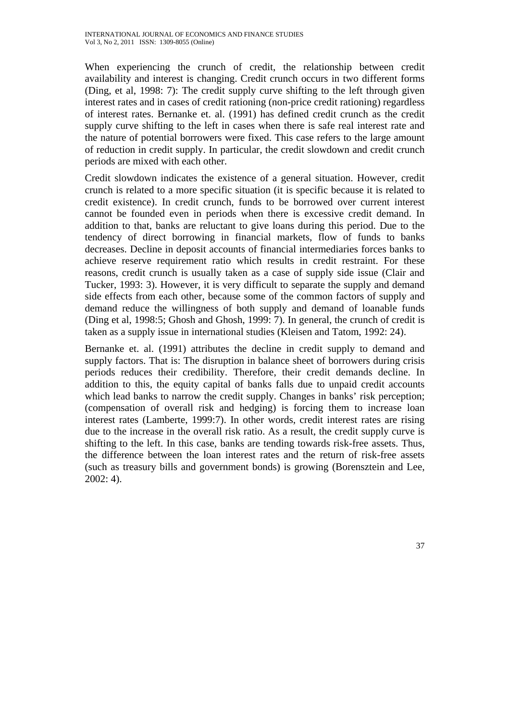When experiencing the crunch of credit, the relationship between credit availability and interest is changing. Credit crunch occurs in two different forms (Ding, et al, 1998: 7): The credit supply curve shifting to the left through given interest rates and in cases of credit rationing (non-price credit rationing) regardless of interest rates. Bernanke et. al. (1991) has defined credit crunch as the credit supply curve shifting to the left in cases when there is safe real interest rate and the nature of potential borrowers were fixed. This case refers to the large amount of reduction in credit supply. In particular, the credit slowdown and credit crunch periods are mixed with each other.

Credit slowdown indicates the existence of a general situation. However, credit crunch is related to a more specific situation (it is specific because it is related to credit existence). In credit crunch, funds to be borrowed over current interest cannot be founded even in periods when there is excessive credit demand. In addition to that, banks are reluctant to give loans during this period. Due to the tendency of direct borrowing in financial markets, flow of funds to banks decreases. Decline in deposit accounts of financial intermediaries forces banks to achieve reserve requirement ratio which results in credit restraint. For these reasons, credit crunch is usually taken as a case of supply side issue (Clair and Tucker, 1993: 3). However, it is very difficult to separate the supply and demand side effects from each other, because some of the common factors of supply and demand reduce the willingness of both supply and demand of loanable funds (Ding et al, 1998:5; Ghosh and Ghosh, 1999: 7). In general, the crunch of credit is taken as a supply issue in international studies (Kleisen and Tatom, 1992: 24).

Bernanke et. al. (1991) attributes the decline in credit supply to demand and supply factors. That is: The disruption in balance sheet of borrowers during crisis periods reduces their credibility. Therefore, their credit demands decline. In addition to this, the equity capital of banks falls due to unpaid credit accounts which lead banks to narrow the credit supply. Changes in banks' risk perception; (compensation of overall risk and hedging) is forcing them to increase loan interest rates (Lamberte, 1999:7). In other words, credit interest rates are rising due to the increase in the overall risk ratio. As a result, the credit supply curve is shifting to the left. In this case, banks are tending towards risk-free assets. Thus, the difference between the loan interest rates and the return of risk-free assets (such as treasury bills and government bonds) is growing (Borensztein and Lee, 2002: 4).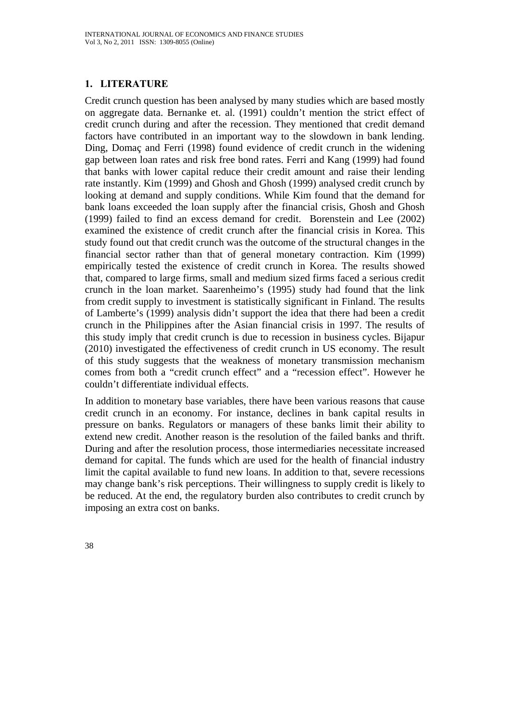### **1. LITERATURE**

Credit crunch question has been analysed by many studies which are based mostly on aggregate data. Bernanke et. al. (1991) couldn't mention the strict effect of credit crunch during and after the recession. They mentioned that credit demand factors have contributed in an important way to the slowdown in bank lending. Ding, Domaç and Ferri (1998) found evidence of credit crunch in the widening gap between loan rates and risk free bond rates. Ferri and Kang (1999) had found that banks with lower capital reduce their credit amount and raise their lending rate instantly. Kim (1999) and Ghosh and Ghosh (1999) analysed credit crunch by looking at demand and supply conditions. While Kim found that the demand for bank loans exceeded the loan supply after the financial crisis, Ghosh and Ghosh (1999) failed to find an excess demand for credit. Borenstein and Lee (2002) examined the existence of credit crunch after the financial crisis in Korea. This study found out that credit crunch was the outcome of the structural changes in the financial sector rather than that of general monetary contraction. Kim (1999) empirically tested the existence of credit crunch in Korea. The results showed that, compared to large firms, small and medium sized firms faced a serious credit crunch in the loan market. Saarenheimo's (1995) study had found that the link from credit supply to investment is statistically significant in Finland. The results of Lamberte's (1999) analysis didn't support the idea that there had been a credit crunch in the Philippines after the Asian financial crisis in 1997. The results of this study imply that credit crunch is due to recession in business cycles. Bijapur (2010) investigated the effectiveness of credit crunch in US economy. The result of this study suggests that the weakness of monetary transmission mechanism comes from both a "credit crunch effect" and a "recession effect". However he couldn't differentiate individual effects.

In addition to monetary base variables, there have been various reasons that cause credit crunch in an economy. For instance, declines in bank capital results in pressure on banks. Regulators or managers of these banks limit their ability to extend new credit. Another reason is the resolution of the failed banks and thrift. During and after the resolution process, those intermediaries necessitate increased demand for capital. The funds which are used for the health of financial industry limit the capital available to fund new loans. In addition to that, severe recessions may change bank's risk perceptions. Their willingness to supply credit is likely to be reduced. At the end, the regulatory burden also contributes to credit crunch by imposing an extra cost on banks.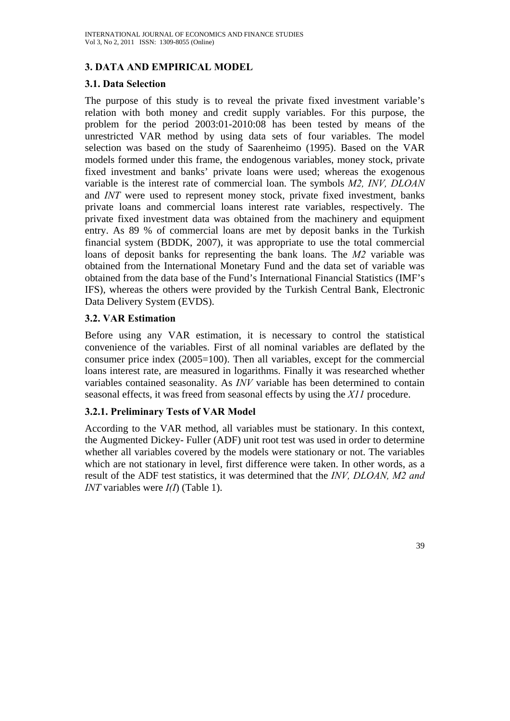# **3. DATA AND EMPIRICAL MODEL**

### **3.1. Data Selection**

The purpose of this study is to reveal the private fixed investment variable's relation with both money and credit supply variables. For this purpose, the problem for the period 2003:01-2010:08 has been tested by means of the unrestricted VAR method by using data sets of four variables. The model selection was based on the study of Saarenheimo (1995). Based on the VAR models formed under this frame, the endogenous variables, money stock, private fixed investment and banks' private loans were used; whereas the exogenous variable is the interest rate of commercial loan. The symbols *M2, INV, DLOAN*  and *INT* were used to represent money stock, private fixed investment, banks private loans and commercial loans interest rate variables, respectively. The private fixed investment data was obtained from the machinery and equipment entry. As 89 % of commercial loans are met by deposit banks in the Turkish financial system (BDDK, 2007), it was appropriate to use the total commercial loans of deposit banks for representing the bank loans. The *M2* variable was obtained from the International Monetary Fund and the data set of variable was obtained from the data base of the Fund's International Financial Statistics (IMF's IFS), whereas the others were provided by the Turkish Central Bank, Electronic Data Delivery System (EVDS).

### **3.2. VAR Estimation**

Before using any VAR estimation, it is necessary to control the statistical convenience of the variables. First of all nominal variables are deflated by the consumer price index (2005=100). Then all variables, except for the commercial loans interest rate, are measured in logarithms. Finally it was researched whether variables contained seasonality. As *INV* variable has been determined to contain seasonal effects, it was freed from seasonal effects by using the *X11* procedure.

## **3.2.1. Preliminary Tests of VAR Model**

According to the VAR method, all variables must be stationary. In this context, the Augmented Dickey- Fuller (ADF) unit root test was used in order to determine whether all variables covered by the models were stationary or not. The variables which are not stationary in level, first difference were taken. In other words, as a result of the ADF test statistics, it was determined that the *INV, DLOAN, M2 and INT* variables were *I(I*) (Table 1).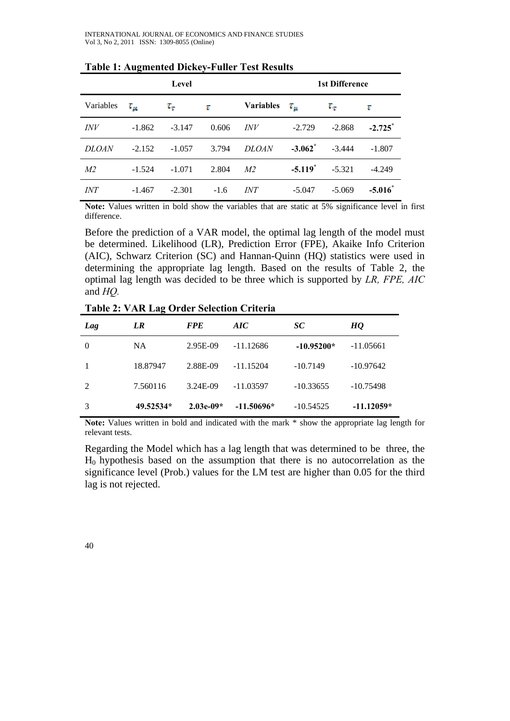|                | Level    |               |        |                  | <b>1st Difference</b> |               |                       |
|----------------|----------|---------------|--------|------------------|-----------------------|---------------|-----------------------|
| Variables      | $r_\mu$  | $T_{\rm{ee}}$ | τ      | <b>Variables</b> | $\tau_{\mu}$          | $T_{\rm eff}$ | τ                     |
| <i>INV</i>     | $-1.862$ | $-3.147$      | 0.606  | <i>INV</i>       | $-2.729$              | $-2.868$      | $-2.725$ <sup>*</sup> |
| <b>DLOAN</b>   | $-2.152$ | $-1.057$      | 3.794  | <b>DLOAN</b>     | $-3.062$ <sup>*</sup> | $-3.444$      | $-1.807$              |
| M <sub>2</sub> | $-1.524$ | $-1.071$      | 2.804  | M <sub>2</sub>   | $-5.119$ <sup>*</sup> | $-5.321$      | $-4.249$              |
| <i>INT</i>     | $-1.467$ | $-2.301$      | $-1.6$ | <i>INT</i>       | $-5.047$              | $-5.069$      | $-5.016^*$            |

**Table 1: Augmented Dickey-Fuller Test Results** 

**Note:** Values written in bold show the variables that are static at 5% significance level in first difference.

Before the prediction of a VAR model, the optimal lag length of the model must be determined. Likelihood (LR), Prediction Error (FPE), Akaike Info Criterion (AIC), Schwarz Criterion (SC) and Hannan-Quinn (HQ) statistics were used in determining the appropriate lag length. Based on the results of Table 2, the optimal lag length was decided to be three which is supported by *LR, FPE, AIC* and *HQ.* 

| Lag            | LR        | <b>FPE</b>  | AIC          | SC <sup>-</sup> | HQ           |
|----------------|-----------|-------------|--------------|-----------------|--------------|
| $\Omega$       | <b>NA</b> | 2.95E-09    | $-11.12686$  | $-10.95200*$    | $-11.05661$  |
|                | 18.87947  | 2.88E-09    | $-11.15204$  | $-10.7149$      | $-10.97642$  |
| $\overline{2}$ | 7.560116  | 3.24E-09    | -11.03597    | $-10.33655$     | $-10.75498$  |
| 3              | 49.52534* | $2.03e-09*$ | $-11.50696*$ | $-10.54525$     | $-11.12059*$ |

**Table 2: VAR Lag Order Selection Criteria**

**Note:** Values written in bold and indicated with the mark \* show the appropriate lag length for relevant tests.

Regarding the Model which has a lag length that was determined to be three, the  $H<sub>0</sub>$  hypothesis based on the assumption that there is no autocorrelation as the significance level (Prob.) values for the LM test are higher than 0.05 for the third lag is not rejected.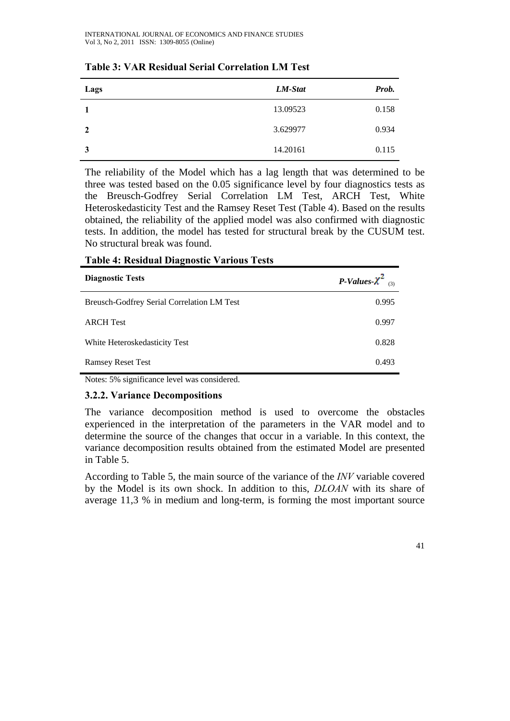| Lags         | LM-Stat  | Prob. |
|--------------|----------|-------|
|              | 13.09523 | 0.158 |
| $\mathbf{2}$ | 3.629977 | 0.934 |
| 3            | 14.20161 | 0.115 |

## **Table 3: VAR Residual Serial Correlation LM Test**

The reliability of the Model which has a lag length that was determined to be three was tested based on the 0.05 significance level by four diagnostics tests as the Breusch-Godfrey Serial Correlation LM Test, ARCH Test, White Heteroskedasticity Test and the Ramsey Reset Test (Table 4). Based on the results obtained, the reliability of the applied model was also confirmed with diagnostic tests. In addition, the model has tested for structural break by the CUSUM test. No structural break was found.

| ∽                                          |                        |
|--------------------------------------------|------------------------|
| <b>Diagnostic Tests</b>                    | P-Values- $\chi^2$ (3) |
| Breusch-Godfrey Serial Correlation LM Test | 0.995                  |
| <b>ARCH</b> Test                           | 0.997                  |
| White Heteroskedasticity Test              | 0.828                  |
| <b>Ramsey Reset Test</b>                   | 0.493                  |

**Table 4: Residual Diagnostic Various Tests**

Notes: 5% significance level was considered.

## **3.2.2. Variance Decompositions**

The variance decomposition method is used to overcome the obstacles experienced in the interpretation of the parameters in the VAR model and to determine the source of the changes that occur in a variable. In this context, the variance decomposition results obtained from the estimated Model are presented in Table 5.

According to Table 5, the main source of the variance of the *INV* variable covered by the Model is its own shock. In addition to this, *DLOAN* with its share of average 11,3 % in medium and long-term, is forming the most important source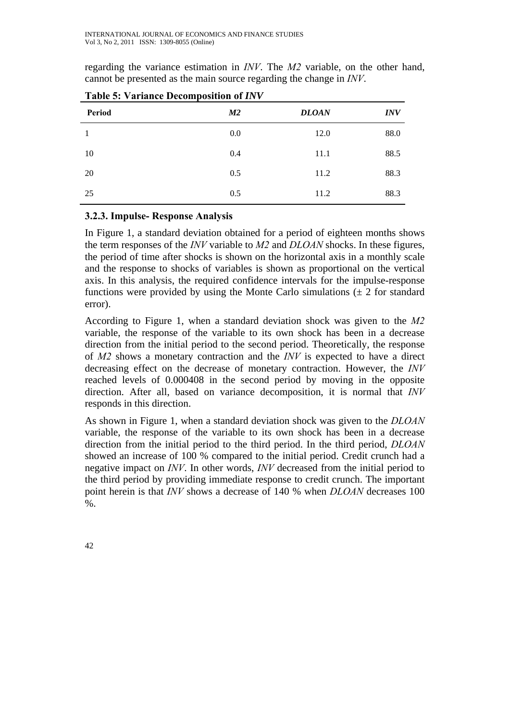regarding the variance estimation in *INV*. The *M2* variable, on the other hand, cannot be presented as the main source regarding the change in *INV*.

| Period | M2  | <b>DLOAN</b> | <b>INV</b> |
|--------|-----|--------------|------------|
|        | 0.0 | 12.0         | 88.0       |
| 10     | 0.4 | 11.1         | 88.5       |
| 20     | 0.5 | 11.2         | 88.3       |
| 25     | 0.5 | 11.2         | 88.3       |

**Table 5: Variance Decomposition of** *INV*

### **3.2.3. Impulse- Response Analysis**

In Figure 1, a standard deviation obtained for a period of eighteen months shows the term responses of the *INV* variable to *M2* and *DLOAN* shocks. In these figures, the period of time after shocks is shown on the horizontal axis in a monthly scale and the response to shocks of variables is shown as proportional on the vertical axis. In this analysis, the required confidence intervals for the impulse-response functions were provided by using the Monte Carlo simulations  $(\pm 2$  for standard error).

According to Figure 1, when a standard deviation shock was given to the *M2* variable, the response of the variable to its own shock has been in a decrease direction from the initial period to the second period. Theoretically, the response of *M2* shows a monetary contraction and the *INV* is expected to have a direct decreasing effect on the decrease of monetary contraction. However, the *INV* reached levels of 0.000408 in the second period by moving in the opposite direction. After all, based on variance decomposition, it is normal that *INV* responds in this direction.

As shown in Figure 1, when a standard deviation shock was given to the *DLOAN* variable, the response of the variable to its own shock has been in a decrease direction from the initial period to the third period. In the third period, *DLOAN*  showed an increase of 100 % compared to the initial period. Credit crunch had a negative impact on *INV*. In other words, *INV* decreased from the initial period to the third period by providing immediate response to credit crunch. The important point herein is that *INV* shows a decrease of 140 % when *DLOAN* decreases 100  $\%$ .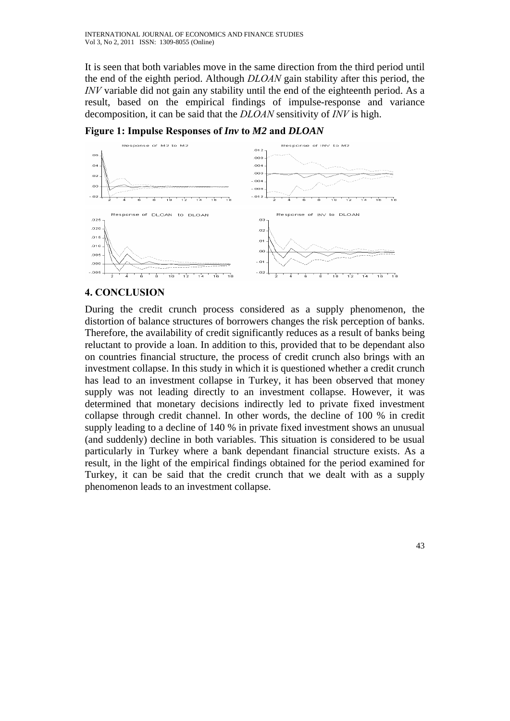It is seen that both variables move in the same direction from the third period until the end of the eighth period. Although *DLOAN* gain stability after this period, the *INV* variable did not gain any stability until the end of the eighteenth period. As a result, based on the empirical findings of impulse-response and variance decomposition, it can be said that the *DLOAN* sensitivity of *INV* is high.



**Figure 1: Impulse Responses of** *Inv* **to** *M2* **and** *DLOAN*

## **4. CONCLUSION**

During the credit crunch process considered as a supply phenomenon, the distortion of balance structures of borrowers changes the risk perception of banks. Therefore, the availability of credit significantly reduces as a result of banks being reluctant to provide a loan. In addition to this, provided that to be dependant also on countries financial structure, the process of credit crunch also brings with an investment collapse. In this study in which it is questioned whether a credit crunch has lead to an investment collapse in Turkey, it has been observed that money supply was not leading directly to an investment collapse. However, it was determined that monetary decisions indirectly led to private fixed investment collapse through credit channel. In other words, the decline of 100 % in credit supply leading to a decline of 140 % in private fixed investment shows an unusual (and suddenly) decline in both variables. This situation is considered to be usual particularly in Turkey where a bank dependant financial structure exists. As a result, in the light of the empirical findings obtained for the period examined for Turkey, it can be said that the credit crunch that we dealt with as a supply phenomenon leads to an investment collapse.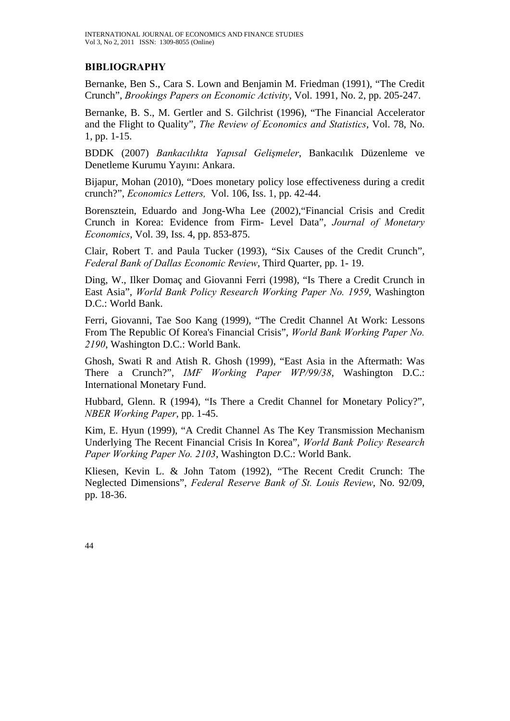## **BIBLIOGRAPHY**

Bernanke, Ben S., Cara S. Lown and Benjamin M. Friedman (1991), "The Credit Crunch", *Brookings Papers on Economic Activity*, Vol. 1991, No. 2, pp. 205-247.

Bernanke, B. S., M. Gertler and S. Gilchrist (1996), "The Financial Accelerator and the Flight to Quality", *The Review of Economics and Statistics*, Vol. 78, No. 1, pp. 1-15.

BDDK (2007) *Bankacılıkta Yapısal Gelişmeler*, Bankacılık Düzenleme ve Denetleme Kurumu Yayını: Ankara.

Bijapur, Mohan (2010), "Does monetary policy lose effectiveness during a credit crunch?", *Economics Letters,* Vol. 106, Iss. 1, pp. 42-44.

Borensztein, Eduardo and Jong-Wha Lee (2002),"Financial Crisis and Credit Crunch in Korea: Evidence from Firm- Level Data", *Journal of Monetary Economics*, Vol. 39, Iss. 4, pp. 853-875.

Clair, Robert T. and Paula Tucker (1993), "Six Causes of the Credit Crunch", *Federal Bank of Dallas Economic Review*, Third Quarter, pp. 1- 19.

Ding, W., Ilker Domaç and Giovanni Ferri (1998), "Is There a Credit Crunch in East Asia", *World Bank Policy Research Working Paper No. 1959*, Washington D.C.: World Bank.

Ferri, Giovanni, Tae Soo Kang (1999), "The Credit Channel At Work: Lessons From The Republic Of Korea's Financial Crisis", *World Bank Working Paper No. 2190*, Washington D.C.: World Bank.

Ghosh, Swati R and Atish R. Ghosh (1999), "East Asia in the Aftermath: Was There a Crunch?", *IMF Working Paper WP/99/38*, Washington D.C.: International Monetary Fund.

Hubbard, Glenn. R (1994), "Is There a Credit Channel for Monetary Policy?", *NBER Working Paper*, pp. 1-45.

Kim, E. Hyun (1999), "A Credit Channel As The Key Transmission Mechanism Underlying The Recent Financial Crisis In Korea", *World Bank Policy Research Paper Working Paper No. 2103*, Washington D.C.: World Bank.

Kliesen, Kevin L. & John Tatom (1992), "The Recent Credit Crunch: The Neglected Dimensions", *Federal Reserve Bank of St. Louis Review*, No. 92/09, pp. 18-36.